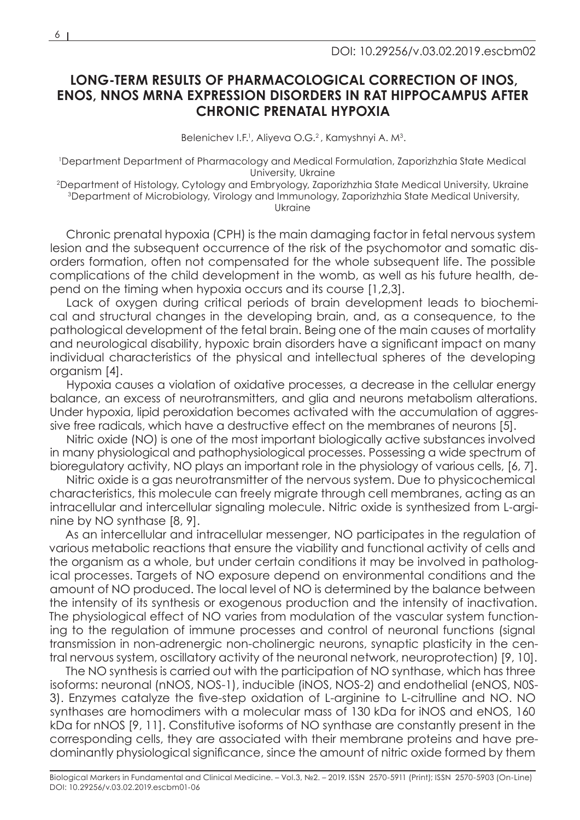# **LONG-TERM RESULTS OF PHARMACOLOGICAL CORRECTION OF INOS, ENOS, NNOS MRNA EXPRESSION DISORDERS IN RAT HIPPOCAMPUS AFTER CHRONIC PRENATAL HYPOXIA**

Belenichev I.F.<sup>1</sup>, Aliyeva O.G.<sup>2</sup>, Kamyshnyi A. M<sup>3</sup>.

1 Department Department of Pharmacology and Medical Formulation, Zaporizhzhia State Medical University, Ukraine

2Department of Histology, Cytology and Embryology, Zaporizhzhia State Medical University, Ukraine 3Department of Microbiology, Virology and Immunology, Zaporizhzhia State Medical University, Ukraine

Chronic prenatal hypoxia (CPH) is the main damaging factor in fetal nervous system lesion and the subsequent occurrence of the risk of the psychomotor and somatic disorders formation, often not compensated for the whole subsequent life. The possible complications of the child development in the womb, as well as his future health, depend on the timing when hypoxia occurs and its course [1,2,3].

Lack of oxygen during critical periods of brain development leads to biochemical and structural changes in the developing brain, and, as a consequence, to the pathological development of the fetal brain. Being one of the main causes of mortality and neurological disability, hypoxic brain disorders have a significant impact on many individual characteristics of the physical and intellectual spheres of the developing organism [4].

Hypoxia causes a violation of oxidative processes, a decrease in the cellular energy balance, an excess of neurotransmitters, and glia and neurons metabolism alterations. Under hypoxia, lipid peroxidation becomes activated with the accumulation of aggressive free radicals, which have a destructive effect on the membranes of neurons [5].

Nitric oxide (NO) is one of the most important biologically active substances involved in many physiological and pathophysiological processes. Possessing a wide spectrum of bioregulatory activity, NO plays an important role in the physiology of various cells, [6, 7].

Nitric oxide is a gas neurotransmitter of the nervous system. Due to physicochemical characteristics, this molecule can freely migrate through cell membranes, acting as an intracellular and intercellular signaling molecule. Nitric oxide is synthesized from L-arginine by NO synthase [8, 9].

As an intercellular and intracellular messenger, NO participates in the regulation of various metabolic reactions that ensure the viability and functional activity of cells and the organism as a whole, but under certain conditions it may be involved in pathological processes. Targets of NO exposure depend on environmental conditions and the amount of NO produced. The local level of NO is determined by the balance between the intensity of its synthesis or exogenous production and the intensity of inactivation. The physiological effect of NO varies from modulation of the vascular system functioning to the regulation of immune processes and control of neuronal functions (signal transmission in non-adrenergic non-cholinergic neurons, synaptic plasticity in the central nervous system, oscillatory activity of the neuronal network, neuroprotection) [9, 10].

The NO synthesis is carried out with the participation of NO synthase, which has three isoforms: neuronal (nNOS, NOS-1), inducible (iNOS, NOS-2) and endothelial (eNOS, N0S-3). Enzymes catalyze the five-step oxidation of L-arginine to L-citrulline and NO. NO synthases are homodimers with a molecular mass of 130 kDa for iNOS and eNOS, 160 kDa for nNOS [9, 11]. Constitutive isoforms of NO synthase are constantly present in the corresponding cells, they are associated with their membrane proteins and have predominantly physiological significance, since the amount of nitric oxide formed by them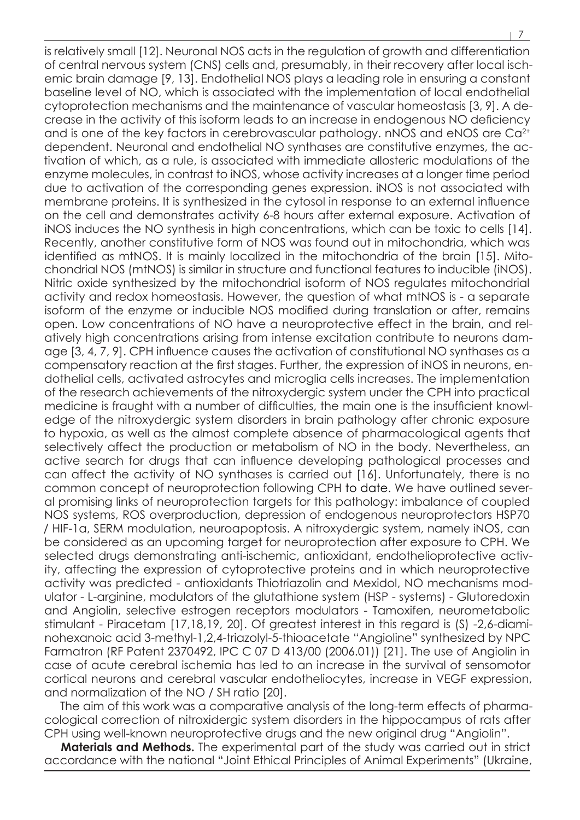is relatively small [12]. Neuronal NOS acts in the regulation of growth and differentiation of central nervous system (CNS) cells and, presumably, in their recovery after local ischemic brain damage [9, 13]. Endothelial NOS plays a leading role in ensuring a constant baseline level of NO, which is associated with the implementation of local endothelial cytoprotection mechanisms and the maintenance of vascular homeostasis [3, 9]. A decrease in the activity of this isoform leads to an increase in endogenous NO deficiency and is one of the key factors in cerebrovascular pathology, nNOS and eNOS are Ca<sup>2+</sup> dependent. Neuronal and endothelial NO synthases are constitutive enzymes, the activation of which, as a rule, is associated with immediate allosteric modulations of the enzyme molecules, in contrast to iNOS, whose activity increases at a longer time period due to activation of the corresponding genes expression. iNOS is not associated with membrane proteins. It is synthesized in the cytosol in response to an external influence on the cell and demonstrates activity 6-8 hours after external exposure. Activation of iNOS induces the NO synthesis in high concentrations, which can be toxic to cells [14]. Recently, another constitutive form of NOS was found out in mitochondria, which was identified as mtNOS. It is mainly localized in the mitochondria of the brain [15]. Mitochondrial NOS (mtNOS) is similar in structure and functional features to inducible (iNOS). Nitric oxide synthesized by the mitochondrial isoform of NOS regulates mitochondrial activity and redox homeostasis. However, the question of what mtNOS is - a separate isoform of the enzyme or inducible NOS modified during translation or after, remains open. Low concentrations of NO have a neuroprotective effect in the brain, and relatively high concentrations arising from intense excitation contribute to neurons damage [3, 4, 7, 9]. CPH influence causes the activation of constitutional NO synthases as a compensatory reaction at the first stages. Further, the expression of iNOS in neurons, endothelial cells, activated astrocytes and microglia cells increases. The implementation of the research achievements of the nitroxydergic system under the CPH into practical medicine is fraught with a number of difficulties, the main one is the insufficient knowledge of the nitroxydergic system disorders in brain pathology after chronic exposure to hypoxia, as well as the almost complete absence of pharmacological agents that selectively affect the production or metabolism of NO in the body. Nevertheless, an active search for drugs that can influence developing pathological processes and can affect the activity of NO synthases is carried out [16]. Unfortunately, there is no common concept of neuroprotection following CPH to date. We have outlined several promising links of neuroprotection targets for this pathology: imbalance of coupled NOS systems, ROS overproduction, depression of endogenous neuroprotectors HSP70 / HIF-1a, SERM modulation, neuroapoptosis. A nitroxydergic system, namely iNOS, can be considered as an upcoming target for neuroprotection after exposure to CPH. We selected drugs demonstrating anti-ischemic, antioxidant, endothelioprotective activity, affecting the expression of cytoprotective proteins and in which neuroprotective activity was predicted - antioxidants Thiotriazolin and Mexidol, NO mechanisms modulator - L-arginine, modulators of the glutathione system (HSP - systems) - Glutoredoxin and Angiolin, selective estrogen receptors modulators - Tamoxifen, neurometabolic stimulant - Piracetam [17,18,19, 20]. Of greatest interest in this regard is (S) -2,6-diaminohexanoic acid 3-methyl-1,2,4-triazolyl-5-thioacetate "Angioline" synthesized by NPC Farmatron (RF Patent 2370492, IPC C 07 D 413/00 (2006.01)) [21]. The use of Angiolin in case of acute cerebral ischemia has led to an increase in the survival of sensomotor cortical neurons and cerebral vascular endotheliocytes, increase in VEGF expression, and normalization of the NO / SH ratio [20].

The aim of this work was a comparative analysis of the long-term effects of pharmacological correction of nitroxidergic system disorders in the hippocampus of rats after CPH using well-known neuroprotective drugs and the new original drug "Angiolin".

**Materials and Methods.** The experimental part of the study was carried out in strict accordance with the national "Joint Ethical Principles of Animal Experiments" (Ukraine,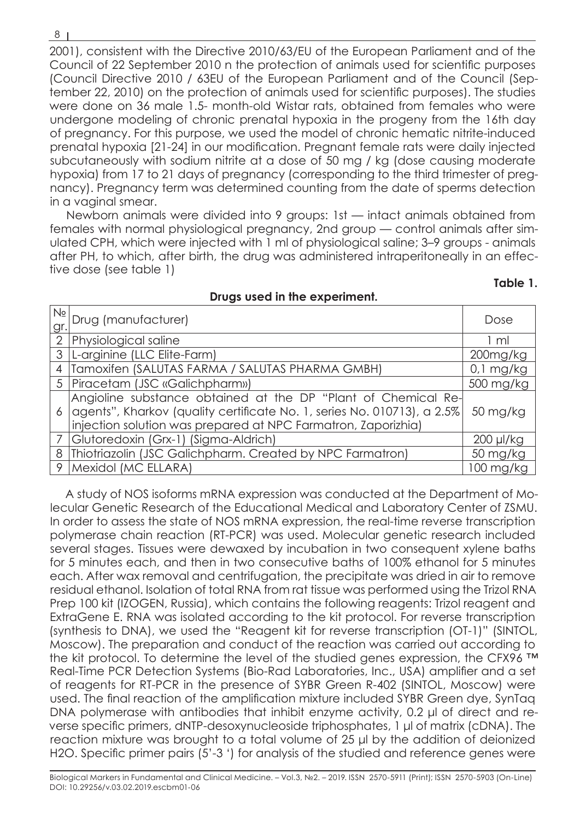2001), consistent with the Directive 2010/63/EU of the European Parliament and of the Council of 22 September 2010 n the protection of animals used for scientific purposes (Council Directive 2010 / 63EU of the European Parliament and of the Council (September 22, 2010) on the protection of animals used for scientific purposes). The studies were done on 36 male 1.5- month-old Wistar rats, obtained from females who were undergone modeling of chronic prenatal hypoxia in the progeny from the 16th day of pregnancy. For this purpose, we used the model of chronic hematic nitrite-induced prenatal hypoxia [21-24] in our modification. Pregnant female rats were daily injected subcutaneously with sodium nitrite at a dose of 50 mg / kg (dose causing moderate hypoxia) from 17 to 21 days of pregnancy (corresponding to the third trimester of pregnancy). Pregnancy term was determined counting from the date of sperms detection in a vaginal smear.

Newborn animals were divided into 9 groups: 1st — intact animals obtained from females with normal physiological pregnancy, 2nd group — control animals after simulated CPH, which were injected with 1 ml of physiological saline; 3–9 groups - animals after PH, to which, after birth, the drug was administered intraperitoneally in an effective dose (see table 1)

# **Table 1.**

| gr             | I <sup>Nº</sup> Drug (manufacturer)                                                                                                                                                                         | Dose        |
|----------------|-------------------------------------------------------------------------------------------------------------------------------------------------------------------------------------------------------------|-------------|
|                | 2 Physiological saline                                                                                                                                                                                      | 1 ml        |
| 3              | L-arginine (LLC Elite-Farm)                                                                                                                                                                                 | 200mg/kg    |
| $\overline{4}$ | Tamoxifen (SALUTAS FARMA / SALUTAS PHARMA GMBH)                                                                                                                                                             | $0,1$ mg/kg |
|                | 5   Piracetam (JSC «Galichpharm»)                                                                                                                                                                           | 500 mg/kg   |
|                | Angioline substance obtained at the DP "Plant of Chemical Re-<br>6 agents", Kharkov (quality certificate No. 1, series No. 010713), a 2.5%<br>injection solution was prepared at NPC Farmatron, Zaporizhia) | 50 mg/kg    |
|                | Glutoredoxin (Grx-1) (Sigma-Aldrich)                                                                                                                                                                        | 200 µl/kg   |
|                | 8 Thiotriazolin (JSC Galichpharm. Created by NPC Farmatron)                                                                                                                                                 | 50 mg/kg    |
| 9              | Mexidol (MC ELLARA)                                                                                                                                                                                         | 100 mg/kg   |

## **Drugs used in the experiment.**

A study of NOS isoforms mRNA expression was conducted at the Department of Molecular Genetic Research of the Educational Medical and Laboratory Center of ZSMU. In order to assess the state of NOS mRNA expression, the real-time reverse transcription polymerase chain reaction (RT-PCR) was used. Molecular genetic research included several stages. Tissues were dewaxed by incubation in two consequent xylene baths for 5 minutes each, and then in two consecutive baths of 100% ethanol for 5 minutes each. After wax removal and centrifugation, the precipitate was dried in air to remove residual ethanol. Isolation of total RNA from rat tissue was performed using the Trizol RNA Prep 100 kit (IZOGEN, Russia), which contains the following reagents: Trizol reagent and ExtraGene E. RNA was isolated according to the kit protocol. For reverse transcription (synthesis to DNA), we used the "Reagent kit for reverse transcription (OT-1)" (SINTOL, Moscow). The preparation and conduct of the reaction was carried out according to the kit protocol. To determine the level of the studied genes expression, the CFX96 ™ Real-Time PCR Detection Systems (Bio-Rad Laboratories, Inc., USA) amplifier and a set of reagents for RT-PCR in the presence of SYBR Green R-402 (SINTOL, Moscow) were used. The final reaction of the amplification mixture included SYBR Green dye, SynTaq DNA polymerase with antibodies that inhibit enzyme activity, 0.2 μl of direct and reverse specific primers, dNTP-desoxynucleoside triphosphates, 1 μl of matrix (cDNA). The reaction mixture was brought to a total volume of 25 μl by the addition of deionized H2O. Specific primer pairs (5'-3 ') for analysis of the studied and reference genes were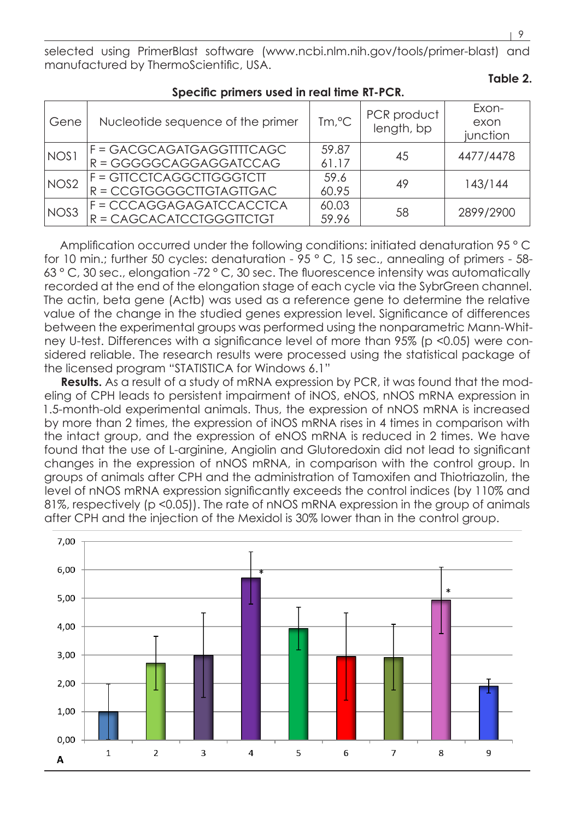selected using PrimerBlast software (www.ncbi.nlm.nih.gov/tools/primer-blast) and manufactured by ThermoScientific, USA.

| Gene             | Nucleotide sequence of the primer                     | $\text{Im} \, \text{C}$ | PCR product<br>length, bp | Exon-<br>exon<br>junction |  |  |
|------------------|-------------------------------------------------------|-------------------------|---------------------------|---------------------------|--|--|
| NOS1             | F = GACGCAGATGAGGTTTTCAGC<br>$R = GGGGGCAGGAGGATCCAG$ | 59.87<br>61.17          | 45                        | 4477/4478                 |  |  |
| NOS <sub>2</sub> | F = GIICCICAGGCIIGGGICII<br>R = CCGTGGGGCTTGTAGTTGAC  | 59.6<br>60.95           | 49                        | 143/144                   |  |  |
| NOS <sub>3</sub> | F = CCCAGGAGAGATCCACCTCA<br>R = CAGCACATCCTGGGTTCTGT  | 60.03<br>59.96          | 58                        | 2899/2900                 |  |  |

# **Specific primers used in real time RT-PCR.**

Amplification occurred under the following conditions: initiated denaturation 95 ° C for 10 min.; further 50 cycles: denaturation - 95 ° C, 15 sec., annealing of primers - 58-63 ° С, 30 sec., elongation -72 ° С, 30 sec. The fluorescence intensity was automatically recorded at the end of the elongation stage of each cycle via the SybrGreen channel. The actin, beta gene (Actb) was used as a reference gene to determine the relative value of the change in the studied genes expression level. Significance of differences between the experimental groups was performed using the nonparametric Mann-Whitney U-test. Differences with a significance level of more than 95% (p <0.05) were considered reliable. The research results were processed using the statistical package of the licensed program "STATISTICA for Windows 6.1"

**Results.** As a result of a study of mRNA expression by PCR, it was found that the modeling of CPH leads to persistent impairment of iNOS, eNOS, nNOS mRNA expression in 1.5-month-old experimental animals. Thus, the expression of nNOS mRNA is increased by more than 2 times, the expression of iNOS mRNA rises in 4 times in comparison with the intact group, and the expression of eNOS mRNA is reduced in 2 times. We have found that the use of L-arginine, Angiolin and Glutoredoxin did not lead to significant changes in the expression of nNOS mRNA, in comparison with the control group. In groups of animals after CPH and the administration of Tamoxifen and Thiotriazolin, the level of nNOS mRNA expression significantly exceeds the control indices (by 110% and 81%, respectively (p <0.05)). The rate of nNOS mRNA expression in the group of animals after CPH and the injection of the Mexidol is 30% lower than in the control group.



**Table 2.**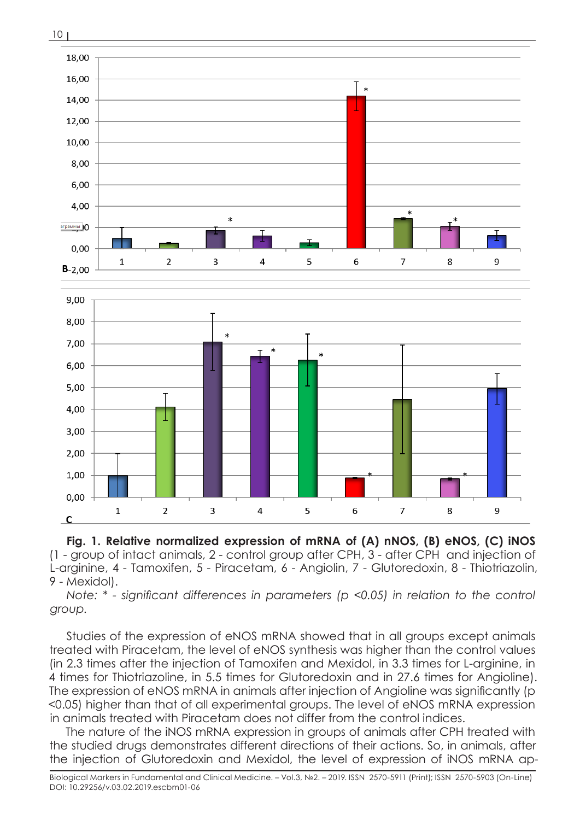

**Fig. 1. Relative normalized expression of mRNA of (A) nNOS, (B) eNOS, (C) iNOS** (1 - group of intact animals, 2 - control group after CPH, 3 - after CPH and injection of L-arginine, 4 - Tamoxifen, 5 - Piracetam, 6 - Angiolin, 7 - Glutoredoxin, 8 - Thiotriazolin, 9 - Mexidol).

*Note: \* - significant differences in parameters (p <0.05) in relation to the control group.*

Studies of the expression of eNOS mRNA showed that in all groups except animals treated with Piracetam, the level of eNOS synthesis was higher than the control values (in 2.3 times after the injection of Tamoxifen and Mexidol, in 3.3 times for L-arginine, in 4 times for Thiotriazoline, in 5.5 times for Glutoredoxin and in 27.6 times for Angioline). The expression of eNOS mRNA in animals after injection of Angioline was significantly (p <0.05) higher than that of all experimental groups. The level of eNOS mRNA expression in animals treated with Piracetam does not differ from the control indices.

The nature of the iNOS mRNA expression in groups of animals after CPH treated with the studied drugs demonstrates different directions of their actions. So, in animals, after the injection of Glutoredoxin and Mexidol, the level of expression of iNOS mRNA ap-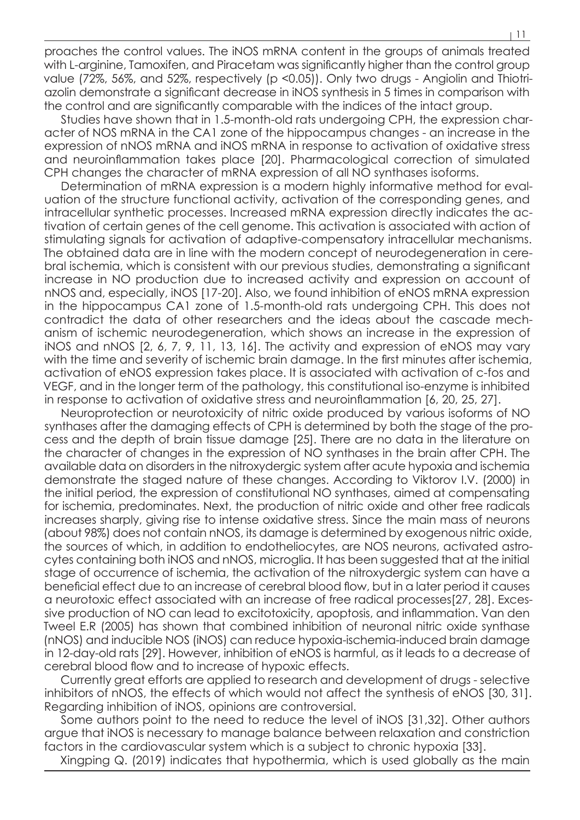proaches the control values. The iNOS mRNA content in the groups of animals treated with L-arginine, Tamoxifen, and Piracetam was significantly higher than the control group value (72%, 56%, and 52%, respectively (p <0.05)). Only two drugs - Angiolin and Thiotriazolin demonstrate a significant decrease in iNOS synthesis in 5 times in comparison with the control and are significantly comparable with the indices of the intact group.

Studies have shown that in 1.5-month-old rats undergoing CPH, the expression character of NOS mRNA in the CA1 zone of the hippocampus changes - an increase in the expression of nNOS mRNA and iNOS mRNA in response to activation of oxidative stress and neuroinflammation takes place [20]. Pharmacological correction of simulated CPH changes the character of mRNA expression of all NO synthases isoforms.

Determination of mRNA expression is a modern highly informative method for evaluation of the structure functional activity, activation of the corresponding genes, and intracellular synthetic processes. Increased mRNA expression directly indicates the activation of certain genes of the cell genome. This activation is associated with action of stimulating signals for activation of adaptive-compensatory intracellular mechanisms. The obtained data are in line with the modern concept of neurodegeneration in cerebral ischemia, which is consistent with our previous studies, demonstrating a significant increase in NO production due to increased activity and expression on account of nNOS and, especially, iNOS [17-20]. Also, we found inhibition of eNOS mRNA expression in the hippocampus CA1 zone of 1.5-month-old rats undergoing CPH. This does not contradict the data of other researchers and the ideas about the cascade mechanism of ischemic neurodegeneration, which shows an increase in the expression of iNOS and nNOS [2, 6, 7, 9, 11, 13, 16]. The activity and expression of eNOS may vary with the time and severity of ischemic brain damage. In the first minutes after ischemia, activation of eNOS expression takes place. It is associated with activation of c-fos and VEGF, and in the longer term of the pathology, this constitutional iso-enzyme is inhibited in response to activation of oxidative stress and neuroinflammation [6, 20, 25, 27].

Neuroprotection or neurotoxicity of nitric oxide produced by various isoforms of NO synthases after the damaging effects of CPH is determined by both the stage of the process and the depth of brain tissue damage [25]. There are no data in the literature on the character of changes in the expression of NO synthases in the brain after CPH. The available data on disorders in the nitroxydergic system after acute hypoxia and ischemia demonstrate the staged nature of these changes. According to Viktorov I.V. (2000) in the initial period, the expression of constitutional NO synthases, aimed at compensating for ischemia, predominates. Next, the production of nitric oxide and other free radicals increases sharply, giving rise to intense oxidative stress. Since the main mass of neurons (about 98%) does not contain nNOS, its damage is determined by exogenous nitric oxide, the sources of which, in addition to endotheliocytes, are NOS neurons, activated astrocytes containing both iNOS and nNOS, microglia. It has been suggested that at the initial stage of occurrence of ischemia, the activation of the nitroxydergic system can have a beneficial effect due to an increase of cerebral blood flow, but in a later period it causes a neurotoxic effect associated with an increase of free radical processes[27, 28]. Excessive production of NO can lead to excitotoxicity, apoptosis, and inflammation. Van den Tweel E.R (2005) has shown that combined inhibition of neuronal nitric oxide synthase (nNOS) and inducible NOS (iNOS) can reduce hypoxia-ischemia-induced brain damage in 12-day-old rats [29]. However, inhibition of eNOS is harmful, as it leads to a decrease of cerebral blood flow and to increase of hypoxic effects.

Currently great efforts are applied to research and development of drugs - selective inhibitors of nNOS, the effects of which would not affect the synthesis of eNOS [30, 31]. Regarding inhibition of iNOS, opinions are controversial.

Some authors point to the need to reduce the level of iNOS [31,32]. Other authors argue that iNOS is necessary to manage balance between relaxation and constriction factors in the cardiovascular system which is a subject to chronic hypoxia [33].

Xingping Q. (2019) indicates that hypothermia, which is used globally as the main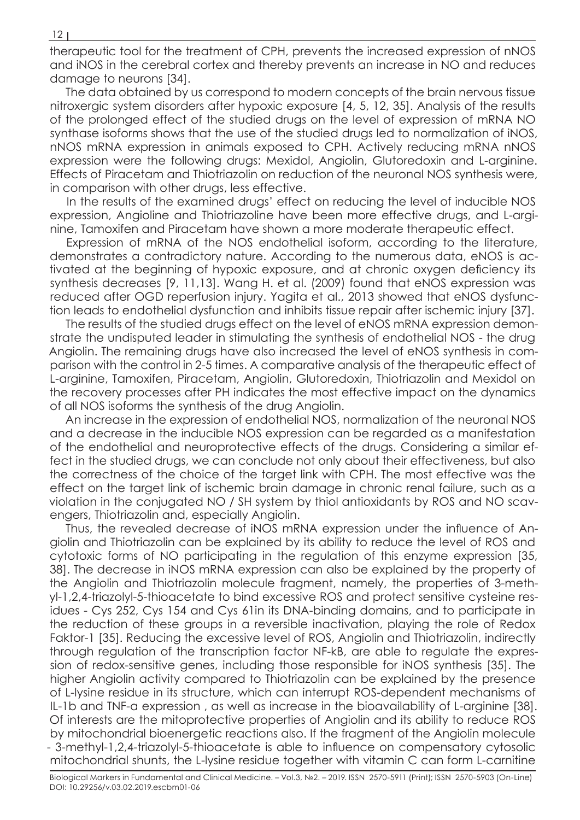therapeutic tool for the treatment of CPH, prevents the increased expression of nNOS and iNOS in the cerebral cortex and thereby prevents an increase in NO and reduces damage to neurons [34].

The data obtained by us correspond to modern concepts of the brain nervous tissue nitroxergic system disorders after hypoxic exposure [4, 5, 12, 35]. Analysis of the results of the prolonged effect of the studied drugs on the level of expression of mRNA NO synthase isoforms shows that the use of the studied drugs led to normalization of iNOS, nNOS mRNA expression in animals exposed to CPH. Actively reducing mRNA nNOS expression were the following drugs: Mexidol, Angiolin, Glutoredoxin and L-arginine. Effects of Piracetam and Thiotriazolin on reduction of the neuronal NOS synthesis were, in comparison with other drugs, less effective.

In the results of the examined drugs' effect on reducing the level of inducible NOS expression, Angioline and Thiotriazoline have been more effective drugs, and L-arginine, Tamoxifen and Piracetam have shown a more moderate therapeutic effect.

Expression of mRNA of the NOS endothelial isoform, according to the literature, demonstrates a contradictory nature. According to the numerous data, eNOS is activated at the beginning of hypoxic exposure, and at chronic oxygen deficiency its synthesis decreases [9, 11,13]. Wang H. et al. (2009) found that eNOS expression was reduced after OGD reperfusion injury. Yagita et al., 2013 showed that eNOS dysfunction leads to endothelial dysfunction and inhibits tissue repair after ischemic injury [37].

The results of the studied drugs effect on the level of eNOS mRNA expression demonstrate the undisputed leader in stimulating the synthesis of endothelial NOS - the drug Angiolin. The remaining drugs have also increased the level of eNOS synthesis in comparison with the control in 2-5 times. A comparative analysis of the therapeutic effect of L-arginine, Tamoxifen, Piracetam, Angiolin, Glutoredoxin, Thiotriazolin and Mexidol on the recovery processes after PH indicates the most effective impact on the dynamics of all NOS isoforms the synthesis of the drug Angiolin.

An increase in the expression of endothelial NOS, normalization of the neuronal NOS and a decrease in the inducible NOS expression can be regarded as a manifestation of the endothelial and neuroprotective effects of the drugs. Considering a similar effect in the studied drugs, we can conclude not only about their effectiveness, but also the correctness of the choice of the target link with CPH. The most effective was the effect on the target link of ischemic brain damage in chronic renal failure, such as a violation in the conjugated NO / SH system by thiol antioxidants by ROS and NO scavengers, Thiotriazolin and, especially Angiolin.

Thus, the revealed decrease of iNOS mRNA expression under the influence of Angiolin and Thiotriazolin can be explained by its ability to reduce the level of ROS and cytotoxic forms of NO participating in the regulation of this enzyme expression [35, 38]. The decrease in iNOS mRNA expression can also be explained by the property of the Angiolin and Thiotriazolin molecule fragment, namely, the properties of 3-methyl-1,2,4-triazolyl-5-thioacetate to bind excessive ROS and protect sensitive cysteine residues - Cys 252, Cys 154 and Cys 61in its DNA-binding domains, and to participate in the reduction of these groups in a reversible inactivation, playing the role of Redox Faktor-1 [35]. Reducing the excessive level of ROS, Angiolin and Thiotriazolin, indirectly through regulation of the transcription factor NF-kB, are able to regulate the expression of redox-sensitive genes, including those responsible for iNOS synthesis [35]. The higher Angiolin activity compared to Thiotriazolin can be explained by the presence of L-lysine residue in its structure, which can interrupt ROS-dependent mechanisms of IL-1b and TNF-a expression , as well as increase in the bioavailability of L-arginine [38]. Of interests are the mitoprotective properties of Angiolin and its ability to reduce ROS by mitochondrial bioenergetic reactions also. If the fragment of the Angiolin molecule - 3-methyl-1,2,4-triazolyl-5-thioacetate is able to influence on compensatory cytosolic mitochondrial shunts, the L-lysine residue together with vitamin C can form L-carnitine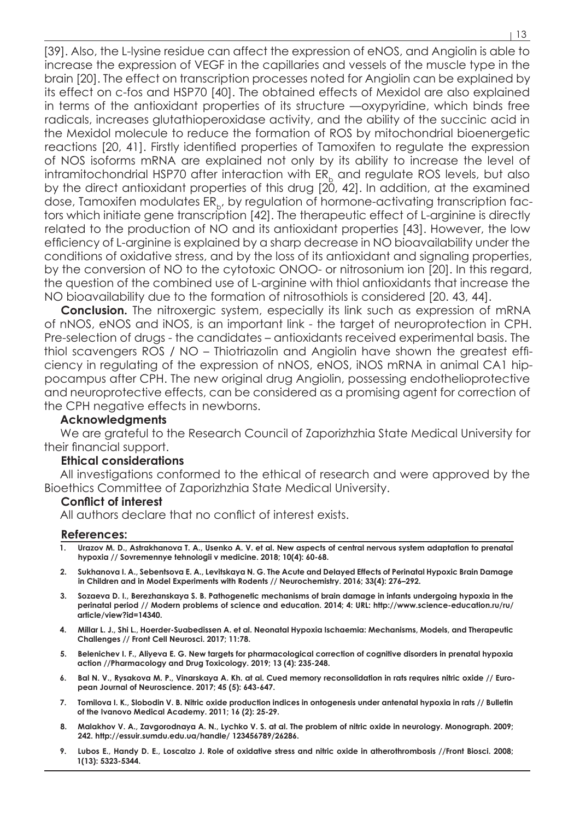[39]. Also, the L-lysine residue can affect the expression of eNOS, and Angiolin is able to increase the expression of VEGF in the capillaries and vessels of the muscle type in the brain [20]. The effect on transcription processes noted for Angiolin can be explained by its effect on c-fos and HSP70 [40]. The obtained effects of Mexidol are also explained in terms of the antioxidant properties of its structure —oxypyridine, which binds free radicals, increases glutathioperoxidase activity, and the ability of the succinic acid in the Mexidol molecule to reduce the formation of ROS by mitochondrial bioenergetic reactions [20, 41]. Firstly identified properties of Tamoxifen to regulate the expression of NOS isoforms mRNA are explained not only by its ability to increase the level of intramitochondrial HSP70 after interaction with  $ER<sub>b</sub>$  and regulate ROS levels, but also by the direct antioxidant properties of this drug [20, 42]. In addition, at the examined dose, Tamoxifen modulates  $ER_{b}$ , by regulation of hormone-activating transcription factors which initiate gene transcription [42]. The therapeutic effect of L-arginine is directly related to the production of NO and its antioxidant properties [43]. However, the low efficiency of L-arginine is explained by a sharp decrease in NO bioavailability under the conditions of oxidative stress, and by the loss of its antioxidant and signaling properties, by the conversion of NO to the cytotoxic ONOO- or nitrosonium ion [20]. In this regard, the question of the combined use of L-arginine with thiol antioxidants that increase the NO bioavailability due to the formation of nitrosothiols is considered [20. 43, 44].

**Conclusion.** The nitroxergic system, especially its link such as expression of mRNA of nNOS, eNOS and iNOS, is an important link - the target of neuroprotection in CPH. Pre-selection of drugs - the candidates – antioxidants received experimental basis. The thiol scavengers ROS / NO – Thiotriazolin and Angiolin have shown the greatest efficiency in regulating of the expression of nNOS, eNOS, iNOS mRNA in animal CA1 hippocampus after CPH. The new original drug Angiolin, possessing endothelioprotective and neuroprotective effects, can be considered as a promising agent for correction of the CPH negative effects in newborns.

## **Acknowledgments**

We are grateful to the Research Council of Zaporizhzhia State Medical University for their financial support.

#### **Ethical considerations**

All investigations conformed to the ethical of research and were approved by the Bioethics Committee of Zaporizhzhia State Medical University.

### **Conflict of interest**

All authors declare that no conflict of interest exists.

#### **References:**

- **1. Urazov M. D., Astrakhanova Т. А., Usenko А. V. et al. New aspects of central nervous system adaptation to prenatal hypoxia // Sovremennye tehnologii v medicine. 2018; 10(4): 60-68.**
- **2. Sukhanova I. A., Sebentsova E. A., Levitskaya N. G. The Acute and Delayed Effects of Perinatal Hypoxic Brain Damage in Children and in Model Experiments with Rodents // Neurochemistry. 2016; 33(4): 276–292.**
- **3. Sozaeva D. I., Berezhanskaya S. B. Pathogenetic mechanisms of brain damage in infants undergoing hypoxia in the perinatal period // Modern problems of science and education. 2014; 4: URL: http://www.science-education.ru/ru/ article/view?id=14340.**
- **4. Millar L. J., Shi L., Hoerder-Suabedissen A. et al. Neonatal Hypoxia Ischaemia: Mechanisms, Models, and Therapeutic Challenges // Front Cell Neurosci. 2017; 11:78.**
- **5. Belenichev I. F., Aliyeva E. G. New targets for pharmacological correction of cognitive disorders in prenatal hypoxia action //Pharmacology and Drug Toxicology. 2019; 13 (4): 235-248.**
- **6. Bal N. V., Rysakova M. P., Vinarskaya A. Kh. at al. Cued memory reconsolidation in rats requires nitric oxide // European Journal of Neuroscience. 2017; 45 (5): 643-647.**
- **7. Tomilova I. K., Slobodin V. B. Nitric oxide production indices in ontogenesis under antenatal hypoxia in rats // Bulletin of the Ivanovo Medical Academy. 2011; 16 (2): 25-29.**
- **8. Malakhov V. A., Zavgorodnaya A. N., Lychko V. S. at al. The problem of nitric oxide in neurology. Monograph. 2009; 242. http://essuir.sumdu.edu.ua/handle/ 123456789/26286.**
- **9. Lubos E., Handy D. E., Loscalzo J. Role of oxidative stress and nitric oxide in atherothrombosis //Front Biosci. 2008; 1(13): 5323-5344.**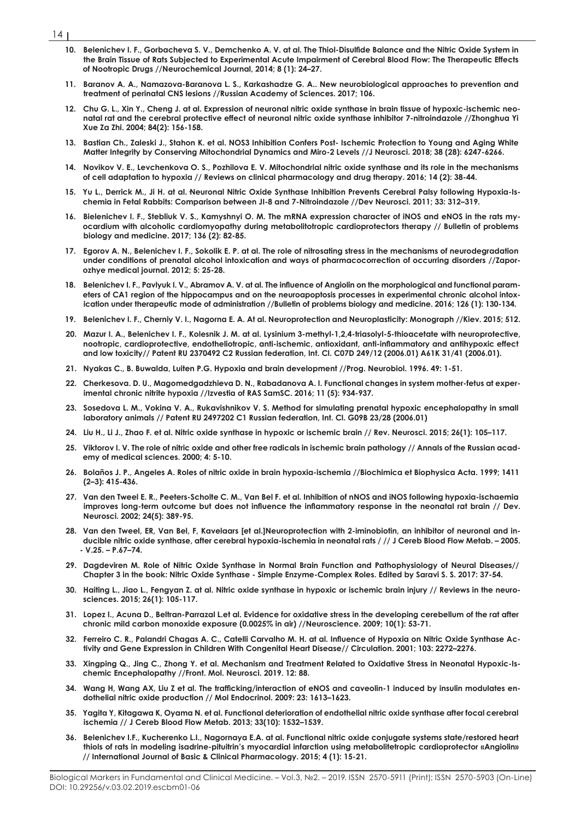- $141$ 
	- **10. Belenichev I. F., Gorbacheva S. V., Demchenko A. V. at al. The Thiol-Disulfide Balance and the Nitric Oxide System in the Brain Tissue of Rats Subjected to Experimental Acute Impairment of Cerebral Blood Flow: The Therapeutic Effects of Nootropic Drugs //Neurochemical Journal, 2014; 8 (1): 24–27.**
	- **11. Baranov A. A., Namazova-Baranova L. S., Karkashadze G. A.. New neurobiological approaches to prevention and treatment of perinatal CNS lesions //Russian Academy of Sciences. 2017; 106.**
	- **12. Chu G. L., Xin Y., Cheng J. at al. Expression of neuronal nitric oxide synthase in brain tissue of hypoxic-ischemic neonatal rat and the cerebral protective effect of neuronal nitric oxide synthase inhibitor 7-nitroindazole //Zhonghua Yi Xue Za Zhi. 2004; 84(2): 156-158.**
	- **13. Bastian Ch., Zaleski J., Stahon K. et al. NOS3 Inhibition Confers Post- Ischemic Protection to Young and Aging White Matter Integrity by Conserving Mitochondrial Dynamics and Miro-2 Levels //J Neurosci. 2018; 38 (28): 6247-6266.**
	- **14. Novikov V. E., Levchenkova O. S., Pozhilova E. V. Mitochondrial nitric oxide synthase and its role in the mechanisms of cell adaptation to hypoxia // Reviews on clinical pharmacology and drug therapy. 2016; 14 (2): 38-44.**
	- **15. Yu L., Derrick M., Ji H. at al.·Neuronal Nitric Oxide Synthase Inhibition Prevents Cerebral Palsy following Hypoxia-Ischemia in Fetal Rabbits: Comparison between JI-8 and 7-Nitroindazole //Dev Neurosci. 2011; 33: 312–319.**
	- **16. Bielenichev I. F., Stebliuk V. S., Kamyshnyi O. M. The mRNA expression character of iNOS and eNOS in the rats myocardium with alcoholic cardiomyopathy during metabolitotropic cardioprotectors therapy // Bulletin of problems biology and medicine. 2017; 136 (2): 82-85.**
	- **17. Egorov A. N., Belenichev I. F., Sokolik E. P. at al. The role of nitrosating stress in the mechanisms of neurodegradation under conditions of prenatal alcohol intoxication and ways of pharmacocorrection of occurring disorders //Zaporozhye medical journal. 2012; 5: 25-28.**
	- **18. Belenichev I. F., Pavlyuk I. V., Abramov A. V. at al. The influence of Angiolin on the morphological and functional parameters of CA1 region of the hippocampus and on the neuroapoptosis processes in experimental chronic alcohol intoxication under therapeutic mode of administration //Bulletin of problems biology and medicine. 2016; 126 (1): 130-134.**
	- **19. Belenichev I. F., Cherniy V. I., Nagorna E. A. At al. Neuroprotection and Neuroplasticity: Monograph //Kiev. 2015; 512.**
	- **20. Mazur I. A., Belenichev I. F., Kolesnik J. M. at al. Lysinium 3-methyl-1,2,4-triasolyl-5-thioacetate with neuroprotective, nootropic, cardioprotective, endotheliotropic, anti-ischemic, antioxidant, anti-inflammatory and antihypoxic effect and low toxicity// Patent RU 2370492 C2 Russian federation, Int. Cl. C07D 249/12 (2006.01) A61K 31/41 (2006.01).**
	- **21. Nyakas C., B. Buwalda, Luiten P.G. Hypoxia and brain development //Prog. Neurobiol. 1996. 49: 1-51.**
	- **22. Cherkesova. D. U., Magomedgadzhieva D. N., Rabadanova A. I. Functional changes in system mother-fetus at experimental chronic nitrite hypoxia //Izvestia of RAS SamSC. 2016; 11 (5): 934-937.**
	- **23. Sosedova L. M., Vokina V. A., Rukavishnikov V. S. Method for simulating prenatal hypoxic encephalopathy in small laboratory animals // Patent RU 2497202 C1 Russian federation, Int. Cl. G09B 23/28 (2006.01)**
	- **24. Liu H., Li J., Zhao F. et al. Nitric oxide synthase in hypoxic or ischemic brain // Rev. Neurosci. 2015; 26(1): 105–117.**
	- **25. Viktorov I. V. The role of nitric oxide and other free radicals in ischemic brain pathology // Annals of the Russian academy of medical sciences. 2000; 4: 5-10.**
	- **26. Bolaños J. P., Angeles A. Roles of nitric oxide in brain hypoxia-ischemia //Biochimica et Biophysica Acta. 1999; 1411 (2–3): 415-436.**
	- **27. Van den Tweel E. R., Peeters-Scholte C. M., Van Bel F. et al. Inhibition of nNOS and iNOS following hypoxia-ischaemia improves long-term outcome but does not influence the inflammatory response in the neonatal rat brain // Dev. Neurosci. 2002; 24(5): 389-95.**
	- **28. Van den Tweel, ER, Van Bel, F, Kavelaars [et al.]Neuroprotection with 2-iminobiotin, an inhibitor of neuronal and inducible nitric oxide synthase, after cerebral hypoxia-ischemia in neonatal rats / // J Cereb Blood Flow Metab. – 2005. - V.25. – Р.67–74.**
	- **29. Dagdeviren М. Role of Nitric Oxide Synthase in Normal Brain Function and Pathophysiology of Neural Diseases// Chapter 3 in the book: Nitric Oxide Synthase - Simple Enzyme-Complex Roles. Edited by Saravi S. S. 2017: 37-54.**
	- **30. Haiting L., Jiao L., Fengyan Z. at al. Nitric oxide synthase in hypoxic or ischemic brain injury // Reviews in the neurosciences. 2015; 26(1): 105-117.**
	- **31. Lopez I., Acuna D., Beltran-Parrazal L.et al. Evidence for oxidative stress in the developing cerebellum of the rat after chronic mild carbon monoxide exposure (0.0025% in air) //Neuroscience. 2009; 10(1): 53-71.**
	- **32. Ferreiro C. R., Palandri Chagas A. C., Catelli Carvalho M. H. at al. Influence of Hypoxia on Nitric Oxide Synthase Activity and Gene Expression in Children With Congenital Heart Disease// Circulation. 2001; 103: 2272–2276.**
	- **33. Xingping Q., Jing C., Zhong Y. et al. Mechanism and Treatment Related to Oxidative Stress in Neonatal Hypoxic-Ischemic Encephalopathy //Front. Mol. Neurosci. 2019. 12: 88.**
	- **34. Wang H, Wang AX, Liu Z et al. The trafficking/interaction of eNOS and caveolin-1 induced by insulin modulates endothelial nitric oxide production // Mol Endocrinol. 2009: 23: 1613–1623.**
	- **35. Yagita Y, Kitagawa K, Oyama N. et al. Functional deterioration of endothelial nitric oxide synthase after focal cerebral ischemia // J Cereb Blood Flow Metab. 2013; 33(10): 1532–1539.**
	- **36. Belenichev I.F., Kucherenko L.I., Nagornaya E.A. at al. Functional nitric oxide conjugate systems state/restored heart thiols of rats in modeling isadrine-pituitrin's myocardial infarction using metabolitetropic cardioprotector «Angiolin» // International Journal of Basic & Clinical Pharmacology. 2015; 4 (1): 15-21.**